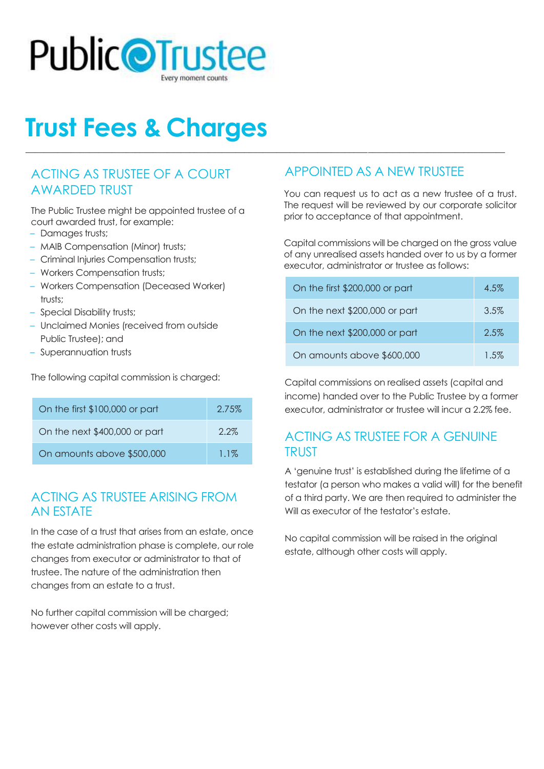

# **Trust Fees & Charges**

#### ACTING AS TRUSTEE OF A COURT AWARDED TRUST

The Public Trustee might be appointed trustee of a court awarded trust, for example:

- Damages trusts;
- MAIB Compensation (Minor) trusts;
- Criminal Injuries Compensation trusts;
- Workers Compensation trusts;
- Workers Compensation (Deceased Worker) trusts;
- Special Disability trusts;
- Unclaimed Monies (received from outside Public Trustee); and
- Superannuation trusts

The following capital commission is charged:

| On the first \$100,000 or part | 2.75%   |
|--------------------------------|---------|
| On the next \$400,000 or part  | $2.2\%$ |
| On amounts above \$500,000     | $1.1\%$ |

#### ACTING AS TRUSTEE ARISING FROM AN ESTATE

In the case of a trust that arises from an estate, once the estate administration phase is complete, our role changes from executor or administrator to that of trustee. The nature of the administration then changes from an estate to a trust.

No further capital commission will be charged; however other costs will apply.

## APPOINTED AS A NEW TRUSTEE

**\_\_\_\_\_\_\_\_\_\_\_\_\_\_\_\_\_\_\_\_\_\_\_\_\_\_\_\_\_\_\_\_\_\_\_\_\_\_\_\_\_\_\_\_\_\_\_\_\_\_\_\_\_\_\_\_\_\_\_\_\_\_\_\_\_\_\_\_\_\_\_\_\_\_\_\_\_\_\_\_\_\_\_\_\_\_\_\_\_\_\_\_\_\_\_\_\_\_\_\_\_\_\_\_\_**

You can request us to act as a new trustee of a trust. The request will be reviewed by our corporate solicitor prior to acceptance of that appointment.

Capital commissions will be charged on the gross value of any unrealised assets handed over to us by a former executor, administrator or trustee as follows:

| On the first \$200,000 or part | 4.5%    |
|--------------------------------|---------|
| On the next \$200,000 or part  | 3.5%    |
| On the next \$200,000 or part  | $2.5\%$ |
| On amounts above \$600,000     | 1.5%    |

Capital commissions on realised assets (capital and income) handed over to the Public Trustee by a former executor, administrator or trustee will incur a 2.2% fee.

#### ACTING AS TRUSTEE FOR A GENUINE TRUST

A 'genuine trust' is established during the lifetime of a testator (a person who makes a valid will) for the benefit of a third party. We are then required to administer the Will as executor of the testator's estate.

No capital commission will be raised in the original estate, although other costs will apply.